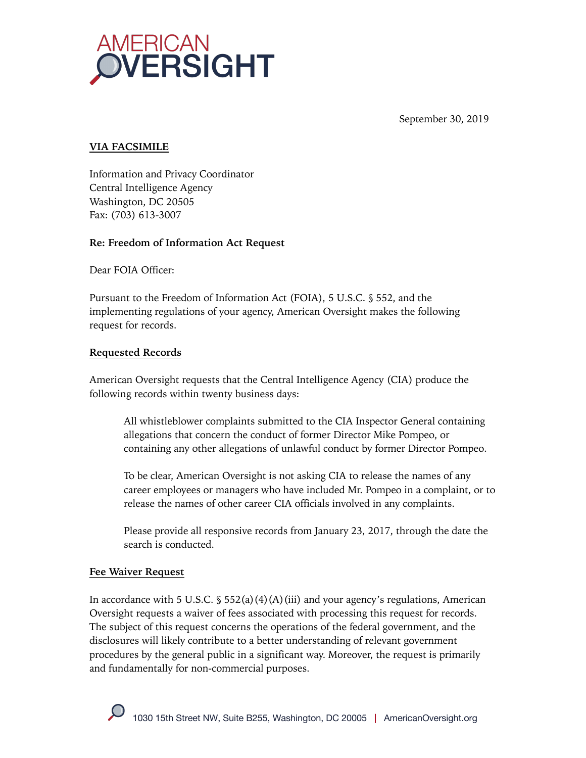

September 30, 2019

## **VIA FACSIMILE**

Information and Privacy Coordinator Central Intelligence Agency Washington, DC 20505 Fax: (703) 613-3007

#### **Re: Freedom of Information Act Request**

Dear FOIA Officer:

Pursuant to the Freedom of Information Act (FOIA), 5 U.S.C. § 552, and the implementing regulations of your agency, American Oversight makes the following request for records.

### **Requested Records**

American Oversight requests that the Central Intelligence Agency (CIA) produce the following records within twenty business days:

All whistleblower complaints submitted to the CIA Inspector General containing allegations that concern the conduct of former Director Mike Pompeo, or containing any other allegations of unlawful conduct by former Director Pompeo.

To be clear, American Oversight is not asking CIA to release the names of any career employees or managers who have included Mr. Pompeo in a complaint, or to release the names of other career CIA officials involved in any complaints.

Please provide all responsive records from January 23, 2017, through the date the search is conducted.

#### **Fee Waiver Request**

In accordance with 5 U.S.C.  $\frac{1}{5}$  552(a)(4)(A)(iii) and your agency's regulations, American Oversight requests a waiver of fees associated with processing this request for records. The subject of this request concerns the operations of the federal government, and the disclosures will likely contribute to a better understanding of relevant government procedures by the general public in a significant way. Moreover, the request is primarily and fundamentally for non-commercial purposes.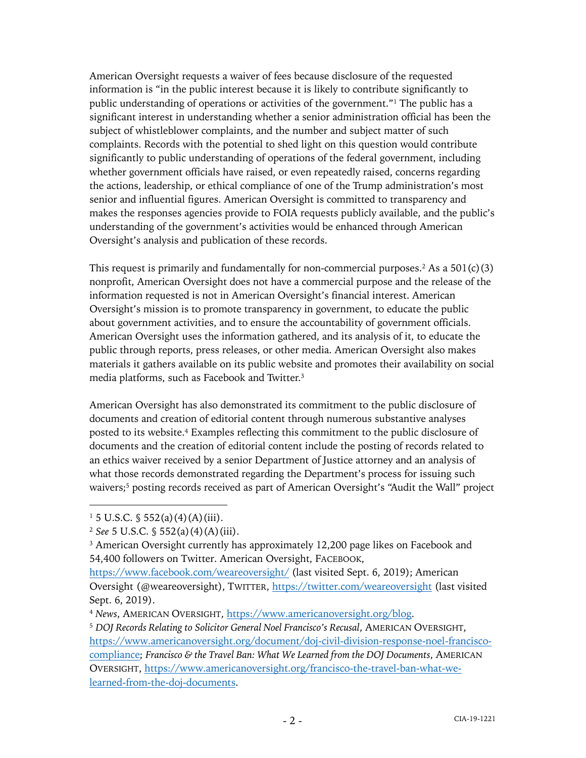American Oversight requests a waiver of fees because disclosure of the requested information is "in the public interest because it is likely to contribute significantly to public understanding of operations or activities of the government."<sup>1</sup> The public has a significant interest in understanding whether a senior administration official has been the subject of whistleblower complaints, and the number and subject matter of such complaints. Records with the potential to shed light on this question would contribute significantly to public understanding of operations of the federal government, including whether government officials have raised, or even repeatedly raised, concerns regarding the actions, leadership, or ethical compliance of one of the Trump administration's most senior and influential figures. American Oversight is committed to transparency and makes the responses agencies provide to FOIA requests publicly available, and the public's understanding of the government's activities would be enhanced through American Oversight's analysis and publication of these records.

This request is primarily and fundamentally for non-commercial purposes.<sup>2</sup> As a  $501(c)(3)$ nonprofit, American Oversight does not have a commercial purpose and the release of the information requested is not in American Oversight's financial interest. American Oversight's mission is to promote transparency in government, to educate the public about government activities, and to ensure the accountability of government officials. American Oversight uses the information gathered, and its analysis of it, to educate the public through reports, press releases, or other media. American Oversight also makes materials it gathers available on its public website and promotes their availability on social media platforms, such as Facebook and Twitter.3

American Oversight has also demonstrated its commitment to the public disclosure of documents and creation of editorial content through numerous substantive analyses posted to its website. <sup>4</sup> Examples reflecting this commitment to the public disclosure of documents and the creation of editorial content include the posting of records related to an ethics waiver received by a senior Department of Justice attorney and an analysis of what those records demonstrated regarding the Department's process for issuing such waivers;<sup>5</sup> posting records received as part of American Oversight's "Audit the Wall" project

 $1\,5$  U.S.C.  $\frac{6}{3}$  552(a)(4)(A)(iii).

<sup>2</sup> *See* 5 U.S.C. § 552(a)(4)(A)(iii).

<sup>&</sup>lt;sup>3</sup> American Oversight currently has approximately 12,200 page likes on Facebook and 54,400 followers on Twitter. American Oversight, FACEBOOK,

https://www.facebook.com/weareoversight/ (last visited Sept. 6, 2019); American Oversight (@weareoversight), TWITTER, https://twitter.com/weareoversight (last visited Sept. 6, 2019).

<sup>4</sup> *News*, AMERICAN OVERSIGHT, https://www.americanoversight.org/blog.

<sup>5</sup> *DOJ Records Relating to Solicitor General Noel Francisco's Recusal*, AMERICAN OVERSIGHT, https://www.americanoversight.org/document/doj-civil-division-response-noel-franciscocompliance; *Francisco & the Travel Ban: What We Learned from the DOJ Documents*, AMERICAN OVERSIGHT, https://www.americanoversight.org/francisco-the-travel-ban-what-welearned-from-the-doj-documents.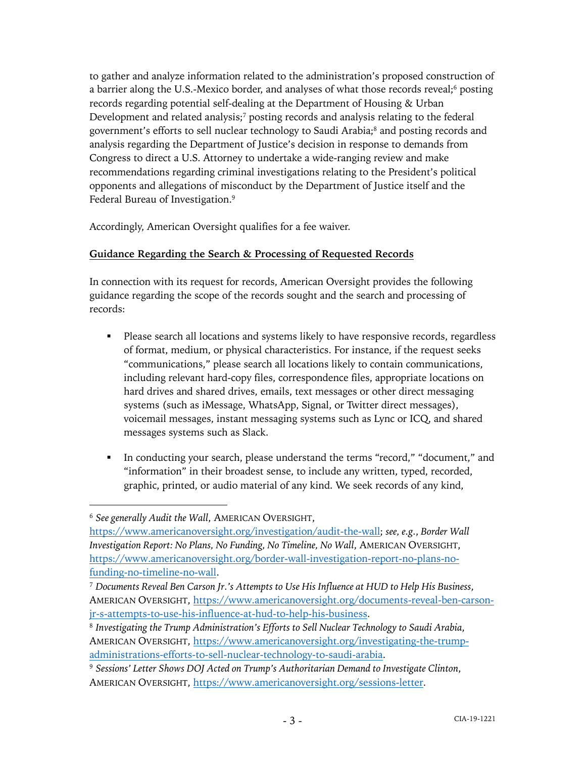to gather and analyze information related to the administration's proposed construction of a barrier along the U.S.-Mexico border, and analyses of what those records reveal;<sup>6</sup> posting records regarding potential self-dealing at the Department of Housing & Urban Development and related analysis; $\frac{7}{2}$  posting records and analysis relating to the federal government's efforts to sell nuclear technology to Saudi Arabia;8 and posting records and analysis regarding the Department of Justice's decision in response to demands from Congress to direct a U.S. Attorney to undertake a wide-ranging review and make recommendations regarding criminal investigations relating to the President's political opponents and allegations of misconduct by the Department of Justice itself and the Federal Bureau of Investigation.<sup>9</sup>

Accordingly, American Oversight qualifies for a fee waiver.

# **Guidance Regarding the Search & Processing of Requested Records**

In connection with its request for records, American Oversight provides the following guidance regarding the scope of the records sought and the search and processing of records:

- Please search all locations and systems likely to have responsive records, regardless of format, medium, or physical characteristics. For instance, if the request seeks "communications," please search all locations likely to contain communications, including relevant hard-copy files, correspondence files, appropriate locations on hard drives and shared drives, emails, text messages or other direct messaging systems (such as iMessage, WhatsApp, Signal, or Twitter direct messages), voicemail messages, instant messaging systems such as Lync or ICQ, and shared messages systems such as Slack.
- § In conducting your search, please understand the terms "record," "document," and "information" in their broadest sense, to include any written, typed, recorded, graphic, printed, or audio material of any kind. We seek records of any kind,

<sup>6</sup> *See generally Audit the Wall*, AMERICAN OVERSIGHT,

https://www.americanoversight.org/investigation/audit-the-wall; *see, e.g.*, *Border Wall Investigation Report: No Plans, No Funding, No Timeline, No Wall*, AMERICAN OVERSIGHT, https://www.americanoversight.org/border-wall-investigation-report-no-plans-nofunding-no-timeline-no-wall.

<sup>7</sup> *Documents Reveal Ben Carson Jr.'s Attempts to Use His Influence at HUD to Help His Business*, AMERICAN OVERSIGHT, https://www.americanoversight.org/documents-reveal-ben-carsonjr-s-attempts-to-use-his-influence-at-hud-to-help-his-business.

<sup>8</sup> *Investigating the Trump Administration's Efforts to Sell Nuclear Technology to Saudi Arabia*, AMERICAN OVERSIGHT, https://www.americanoversight.org/investigating-the-trumpadministrations-efforts-to-sell-nuclear-technology-to-saudi-arabia.

<sup>9</sup> *Sessions' Letter Shows DOJ Acted on Trump's Authoritarian Demand to Investigate Clinton*, AMERICAN OVERSIGHT, https://www.americanoversight.org/sessions-letter.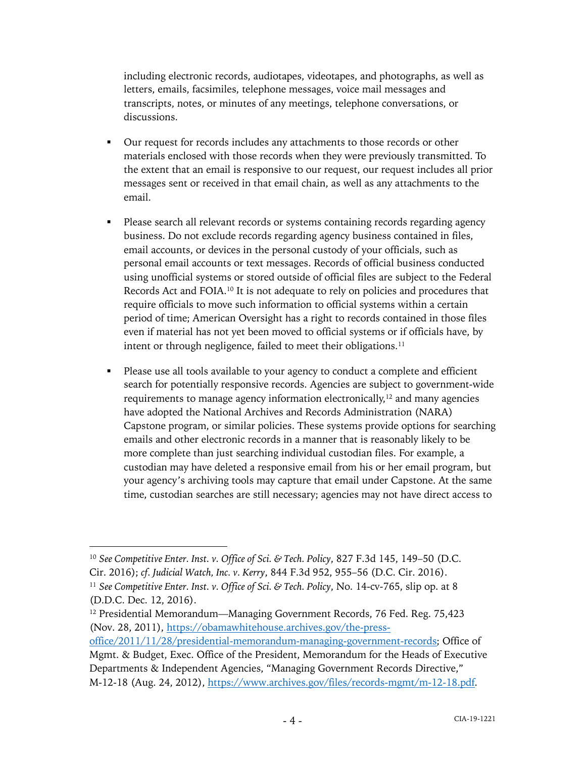including electronic records, audiotapes, videotapes, and photographs, as well as letters, emails, facsimiles, telephone messages, voice mail messages and transcripts, notes, or minutes of any meetings, telephone conversations, or discussions.

- Our request for records includes any attachments to those records or other materials enclosed with those records when they were previously transmitted. To the extent that an email is responsive to our request, our request includes all prior messages sent or received in that email chain, as well as any attachments to the email.
- § Please search all relevant records or systems containing records regarding agency business. Do not exclude records regarding agency business contained in files, email accounts, or devices in the personal custody of your officials, such as personal email accounts or text messages. Records of official business conducted using unofficial systems or stored outside of official files are subject to the Federal Records Act and FOIA.10 It is not adequate to rely on policies and procedures that require officials to move such information to official systems within a certain period of time; American Oversight has a right to records contained in those files even if material has not yet been moved to official systems or if officials have, by intent or through negligence, failed to meet their obligations.<sup>11</sup>
- § Please use all tools available to your agency to conduct a complete and efficient search for potentially responsive records. Agencies are subject to government-wide requirements to manage agency information electronically,<sup>12</sup> and many agencies have adopted the National Archives and Records Administration (NARA) Capstone program, or similar policies. These systems provide options for searching emails and other electronic records in a manner that is reasonably likely to be more complete than just searching individual custodian files. For example, a custodian may have deleted a responsive email from his or her email program, but your agency's archiving tools may capture that email under Capstone. At the same time, custodian searches are still necessary; agencies may not have direct access to

<sup>10</sup> *See Competitive Enter. Inst. v. Office of Sci. & Tech. Policy*, 827 F.3d 145, 149–50 (D.C. Cir. 2016); *cf. Judicial Watch, Inc. v. Kerry*, 844 F.3d 952, 955–56 (D.C. Cir. 2016).

<sup>11</sup> *See Competitive Enter. Inst. v. Office of Sci. & Tech. Policy*, No. 14-cv-765, slip op. at 8 (D.D.C. Dec. 12, 2016).

<sup>&</sup>lt;sup>12</sup> Presidential Memorandum—Managing Government Records, 76 Fed. Reg. 75,423 (Nov. 28, 2011), https://obamawhitehouse.archives.gov/the-press-

office/2011/11/28/presidential-memorandum-managing-government-records; Office of Mgmt. & Budget, Exec. Office of the President, Memorandum for the Heads of Executive Departments & Independent Agencies, "Managing Government Records Directive," M-12-18 (Aug. 24, 2012), https://www.archives.gov/files/records-mgmt/m-12-18.pdf.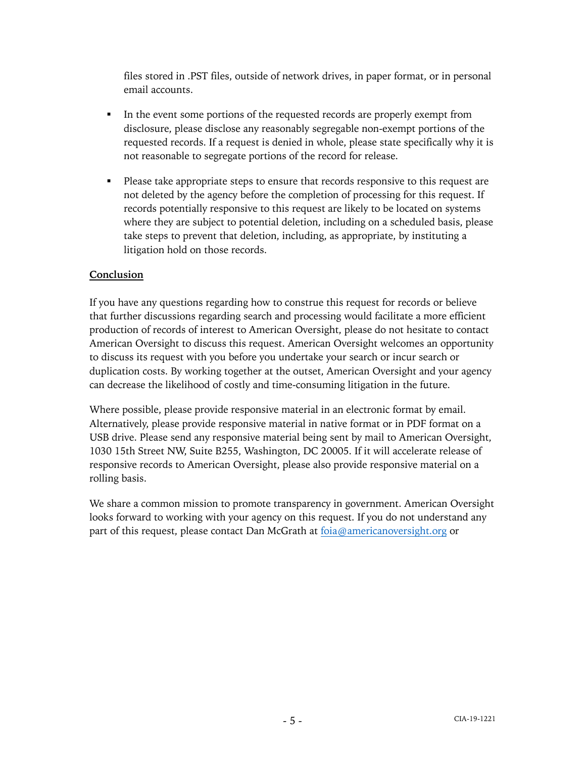files stored in .PST files, outside of network drives, in paper format, or in personal email accounts.

- In the event some portions of the requested records are properly exempt from disclosure, please disclose any reasonably segregable non-exempt portions of the requested records. If a request is denied in whole, please state specifically why it is not reasonable to segregate portions of the record for release.
- Please take appropriate steps to ensure that records responsive to this request are not deleted by the agency before the completion of processing for this request. If records potentially responsive to this request are likely to be located on systems where they are subject to potential deletion, including on a scheduled basis, please take steps to prevent that deletion, including, as appropriate, by instituting a litigation hold on those records.

#### **Conclusion**

If you have any questions regarding how to construe this request for records or believe that further discussions regarding search and processing would facilitate a more efficient production of records of interest to American Oversight, please do not hesitate to contact American Oversight to discuss this request. American Oversight welcomes an opportunity to discuss its request with you before you undertake your search or incur search or duplication costs. By working together at the outset, American Oversight and your agency can decrease the likelihood of costly and time-consuming litigation in the future.

Where possible, please provide responsive material in an electronic format by email. Alternatively, please provide responsive material in native format or in PDF format on a USB drive. Please send any responsive material being sent by mail to American Oversight, 1030 15th Street NW, Suite B255, Washington, DC 20005. If it will accelerate release of responsive records to American Oversight, please also provide responsive material on a rolling basis.

We share a common mission to promote transparency in government. American Oversight looks forward to working with your agency on this request. If you do not understand any part of this request, please contact Dan McGrath at foia@americanoversight.org or